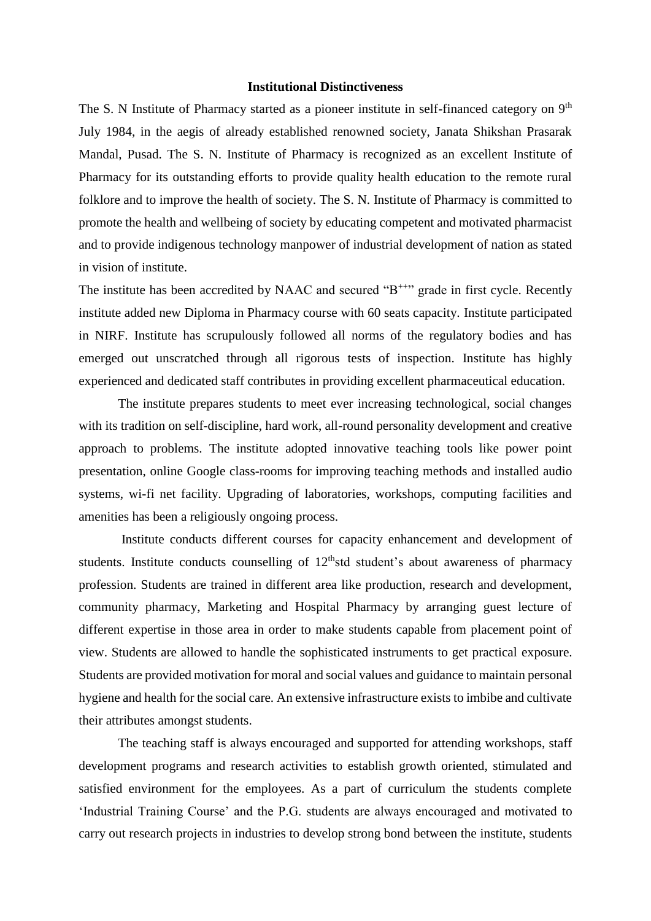## **Institutional Distinctiveness**

The S. N Institute of Pharmacy started as a pioneer institute in self-financed category on 9<sup>th</sup> July 1984, in the aegis of already established renowned society, Janata Shikshan Prasarak Mandal, Pusad. The S. N. Institute of Pharmacy is recognized as an excellent Institute of Pharmacy for its outstanding efforts to provide quality health education to the remote rural folklore and to improve the health of society. The S. N. Institute of Pharmacy is committed to promote the health and wellbeing of society by educating competent and motivated pharmacist and to provide indigenous technology manpower of industrial development of nation as stated in vision of institute.

The institute has been accredited by NAAC and secured "B<sup>++"</sup> grade in first cycle. Recently institute added new Diploma in Pharmacy course with 60 seats capacity. Institute participated in NIRF. Institute has scrupulously followed all norms of the regulatory bodies and has emerged out unscratched through all rigorous tests of inspection. Institute has highly experienced and dedicated staff contributes in providing excellent pharmaceutical education.

The institute prepares students to meet ever increasing technological, social changes with its tradition on self-discipline, hard work, all-round personality development and creative approach to problems. The institute adopted innovative teaching tools like power point presentation, online Google class-rooms for improving teaching methods and installed audio systems, wi-fi net facility. Upgrading of laboratories, workshops, computing facilities and amenities has been a religiously ongoing process.

Institute conducts different courses for capacity enhancement and development of students. Institute conducts counselling of  $12<sup>th</sup>$ std student's about awareness of pharmacy profession. Students are trained in different area like production, research and development, community pharmacy, Marketing and Hospital Pharmacy by arranging guest lecture of different expertise in those area in order to make students capable from placement point of view. Students are allowed to handle the sophisticated instruments to get practical exposure. Students are provided motivation for moral and social values and guidance to maintain personal hygiene and health for the social care. An extensive infrastructure exists to imbibe and cultivate their attributes amongst students.

The teaching staff is always encouraged and supported for attending workshops, staff development programs and research activities to establish growth oriented, stimulated and satisfied environment for the employees. As a part of curriculum the students complete 'Industrial Training Course' and the P.G. students are always encouraged and motivated to carry out research projects in industries to develop strong bond between the institute, students